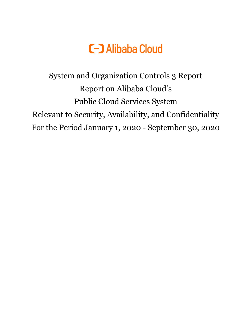

System and Organization Controls 3 Report Report on Alibaba Cloud's Public Cloud Services System Relevant to Security, Availability, and Confidentiality For the Period January 1, 2020 - September 30, 2020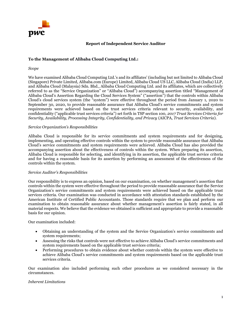

# **Report of Independent Service Auditor**

# **To the Management of Alibaba Cloud Computing Ltd.:**

#### *Scope*

We have examined Alibaba Cloud Computing Ltd.'s and its affiliates' (including but not limited to Alibaba Cloud (Singapore) Private Limited, Alibaba.com (Europe) Limited, Alibaba Cloud US LLC, Alibaba Cloud (India) LLP, and Alibaba Cloud (Malaysia) Sdn. Bhd., Alibaba Cloud Computing Ltd. and its affiliates, which are collectively referred to as the "Service Organization" or "Alibaba Cloud") accompanying assertion titled "Management of Alibaba Cloud's Assertion Regarding the Cloud Services System" ("assertion") that the controls within Alibaba Cloud's cloud services system (the "system") were effective throughout the period from January 1, 2020 to September 30, 2020, to provide reasonable assurance that Alibaba Cloud's service commitments and system requirements were achieved based on the trust services criteria relevant to security, availability, and confidentiality ("applicable trust services criteria") set forth in TSP section 100, *2017 Trust Services Criteria for Security, Availability, Processing Integrity, Confidentiality, and Privacy* (AICPA, *Trust Services Criteria*).

## *Service Organization's Responsibilities*

Alibaba Cloud is responsible for its service commitments and system requirements and for designing, implementing, and operating effective controls within the system to provide reasonable assurance that Alibaba Cloud's service commitments and system requirements were achieved. Alibaba Cloud has also provided the accompanying assertion about the effectiveness of controls within the system. When preparing its assertion, Alibaba Cloud is responsible for selecting, and identifying in its assertion, the applicable trust service criteria and for having a reasonable basis for its assertion by performing an assessment of the effectiveness of the controls within the system.

## *Service Auditor's Responsibilities*

Our responsibility is to express an opinion, based on our examination, on whether management's assertion that controls within the system were effective throughout the period to provide reasonable assurance that the Service Organization's service commitments and system requirements were achieved based on the applicable trust services criteria. Our examination was conducted in accordance with attestation standards established by the American Institute of Certified Public Accountants. Those standards require that we plan and perform our examination to obtain reasonable assurance about whether management's assertion is fairly stated, in all material respects. We believe that the evidence we obtained is sufficient and appropriate to provide a reasonable basis for our opinion.

Our examination included:

- Obtaining an understanding of the system and the Service Organization's service commitments and system requirements;
- Assessing the risks that controls were not effective to achieve Alibaba Cloud's service commitments and system requirements based on the applicable trust services criteria;
- Performing procedures to obtain evidence about whether controls within the system were effective to achieve Alibaba Cloud's service commitments and system requirements based on the applicable trust services criteria.

Our examination also included performing such other procedures as we considered necessary in the circumstances.

## *Inherent Limitations*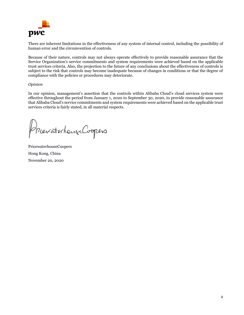

There are inherent limitations in the effectiveness of any system of internal control, including the possibility of human error and the circumvention of controls.

Because of their nature, controls may not always operate effectively to provide reasonable assurance that the Service Organization's service commitments and system requirements were achieved based on the applicable trust services criteria. Also, the projection to the future of any conclusions about the effectiveness of controls is subject to the risk that controls may become inadequate because of changes in conditions or that the degree of compliance with the policies or procedures may deteriorate.

## *Opinion*

In our opinion, management's assertion that the controls within Alibaba Cloud's cloud services system were effective throughout the period from January 1, 2020 to September 30, 2020, to provide reasonable assurance that Alibaba Cloud's service commitments and system requirements were achieved based on the applicable trust services criteria is fairly stated, in all material respects.

MeraterhandCoopers

PricewaterhouseCoopers Hong Kong, China November 20, 2020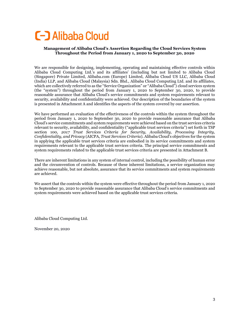# **C-D** Alibaba Cloud

# **Management of Alibaba Cloud's Assertion Regarding the Cloud Services System Throughout the Period from January 1, 2020 to September 30, 2020**

We are responsible for designing, implementing, operating and maintaining effective controls within Alibaba Cloud Computing Ltd.'s and its affiliates' (including but not limited to Alibaba Cloud (Singapore) Private Limited, Alibaba.com (Europe) Limited, Alibaba Cloud US LLC, Alibaba Cloud (India) LLP, and Alibaba Cloud (Malaysia) Sdn. Bhd., Alibaba Cloud Computing Ltd. and its affiliates, which are collectively referred to as the "Service Organization" or "Alibaba Cloud") cloud services system (the "system") throughout the period from January 1, 2020 to September 30, 2020, to provide reasonable assurance that Alibaba Cloud's service commitments and system requirements relevant to security, availability and confidentiality were achieved. Our description of the boundaries of the system is presented in Attachment A and identifies the aspects of the system covered by our assertion.

We have performed an evaluation of the effectiveness of the controls within the system throughout the period from January 1, 2020 to September 30, 2020 to provide reasonable assurance that Alibaba Cloud's service commitments and system requirements were achieved based on the trust services criteria relevant to security, availability, and confidentiality ("applicable trust services criteria") set forth in TSP section 100, *2017 Trust Services Criteria for Security, Availability, Processing Integrity, Confidentiality, and Privacy* (AICPA, *Trust Services Criteria*). Alibaba Cloud's objectives for the system in applying the applicable trust services criteria are embodied in its service commitments and system requirements relevant to the applicable trust services criteria. The principal service commitments and system requirements related to the applicable trust services criteria are presented in Attachment B.

There are inherent limitations in any system of internal control, including the possibility of human error and the circumvention of controls. Because of these inherent limitations, a service organization may achieve reasonable, but not absolute, assurance that its service commitments and system requirements are achieved.

We assert that the controls within the system were effective throughout the period from January 1, 2020 to September 30, 2020 to provide reasonable assurance that Alibaba Cloud's service commitments and system requirements were achieved based on the applicable trust services criteria.

Alibaba Cloud Computing Ltd.

November 20, 2020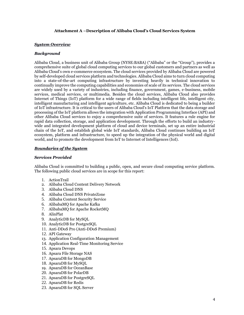## **Attachment A –Description of Alibaba Cloud's Cloud Services System**

## *System Overview*

#### *Background*

Alibaba Cloud, a business unit of Alibaba Group (NYSE:BABA) ("Alibaba" or the "Group"), provides a comprehensive suite of global cloud computing services to our global customers and partners as well as Alibaba Cloud's own e-commerce ecosystem. The cloud services provided by Alibaba Cloud are powered by self-developed cloud services platform and technologies. Alibaba Cloud aims to turn cloud computing into a state-of-the-art computing infrastructure by investing heavily in technical innovation to continually improve the computing capabilities and economies of scale of its services. The cloud services are widely used by a variety of industries, including finance, government, games, e-business, mobile services, medical services, or multimedia. Besides the cloud services, Alibaba Cloud also provides Internet of Things (IoT) platform for a wide range of fields including intelligent life, intelligent city, intelligent manufacturing and intelligent agriculture, etc. Alibaba Cloud is dedicated to being a builder of IoT infrastructure. It is critical to the users of Alibaba Cloud's IoT Platform that the data storage and processing of the IoT platform allows the integration with Application Programming Interface (API) and other Alibaba Cloud services to enjoy a comprehensive suite of services. It features a rule engine for rapid data collection, storage, and application development. Through the efforts to build an industrywide and integrated development platform of cloud and device terminals, set up an entire industrial chain of the IoT, and establish global wide IoT standards, Alibaba Cloud continues building an IoT ecosystem, platform and infrastructure, to speed up the integration of the physical world and digital world, and to promote the development from IoT to Internet of Intelligences (IoI).

#### *Boundaries of the System*

#### *Services Provided*

Alibaba Cloud is committed to building a public, open, and secure cloud computing service platform. The following public cloud services are in scope for this report:

- 1. ActionTrail
- 2. Alibaba Cloud Content Delivery Network
- 3. Alibaba Cloud DNS
- 4. Alibaba Cloud DNS PrivateZone
- 5. Alibaba Content Security Service
- 6. AlibabaMQ for Apache Kafka
- 7. AlibabaMQ for Apache RocketMQ
- 8. AlinPlat
- 9. AnalyticDB for MySQL
- 10. AnalyticDB for PostgreSQL
- 11. Anti-DDoS Pro (Anti-DDoS Premium)
- 12. API Gateway
- 13. Application Configuration Management
- 14. Application Real-Time Monitoring Service
- 15. Apsara Devops
- 16. Apsara File Storage NAS
- 17. ApsaraDB for MongoDB
- 18. ApsaraDB for MySQL
- 19. ApsaraDB for OceanBase
- 20. ApsaraDB for PolarDB
- 21. ApsaraDB for PostgreSQL
- 22. ApsaraDB for Redis
- 23. ApsaraDB for SQL Server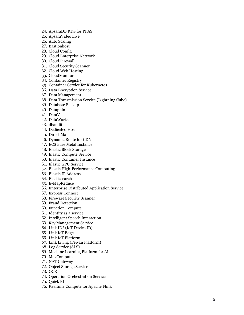- 24. ApsaraDB RDS for PPAS
- 25. ApsaraVideo Live
- 26. Auto Scaling
- 27. Bastionhost
- 28. Cloud Config
- 29. Cloud Enterprise Network
- 30. Cloud Firewall
- 31. Cloud Security Scanner
- 32. Cloud Web Hosting
- 33. CloudMonitor
- 34. Container Registry
- 35. Container Service for Kubernetes
- 36. Data Encryption Service
- 37. Data Management
- 38. Data Transmission Service (Lightning Cube)
- 39. Database Backup
- 40. Dataphin
- 41. DataV
- 42. DataWorks
- 43. dbaudit
- 44. Dedicated Host
- 45. Direct Mail
- 46. Dynamic Route for CDN
- 47. ECS Bare Metal Instance
- 48. Elastic Block Storage
- 49. Elastic Compute Service
- 50. Elastic Container Instance
- 51. Elastic GPU Service
- 52. Elastic High -Performance Computing
- 53. Elastic IP Address
- 54. Elasticsearch
- 55. E -MapReduce
- 56. Enterprise Distributed Application Service
- 57. Express Connect
- 58. Fireware Security Scanner
- 59. Fraud Detection
- 60. Function Compute
- 61. Identity as a service
- 62. Intelligent Speech Interaction
- 63. Key Management Service
- 64. Link ID² (IoT Device ID)
- 65. Link IoT Edge
- 66. Link IoT Platform
- 67. Link Living (Feiyan Platform)
- 68. Log Service (SLS)
- 69. Machine Learning Platform for AI
- 70. MaxCompute
- 71. NAT Gateway
- 72. Object Storage Service
- 73. OCR
- 74. Operation Orchestration Service
- 75. Quick BI
- 76. Realtime Compute for Apache Flink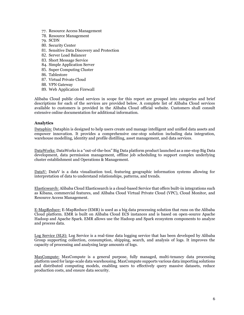- 77. Resource Access Management
- 78. Resource Management
- 79. SCDN
- 80. Security Center
- 81. Sensitive Data Discovery and Protection
- 82. Server Load Balancer
- 83. Short Message Service
- 84. Simple Application Server
- 85. Super Computing Cluster
- 86. Tablestore
- 87. Virtual Private Cloud
- 88. VPN Gateway
- 89. Web Application Firewall

Alibaba Cloud public cloud services in scope for this report are grouped into categories and brief descriptions for each of the services are provided below. A complete list of Alibaba Cloud services available to customers is provided in the Alibaba Cloud official website. Customers shall consult extensive online documentation for additional information.

## **Analytics**

Dataphin: Dataphin is designed to help users create and manage intelligent and unified data assets and empower innovation. It provides a comprehensive one-stop solution including data integration, warehouse modelling, identity and profile distilling, asset management, and data services.

DataWorks: DataWorks is a "out-of-the-box" Big Data platform product launched as a one-stop Big Data development, data permission management, offline job scheduling to support complex underlying cluster establishment and Operations & Management.

DataV: DataV is a data visualization tool, featuring geographic information systems allowing for interpretation of data to understand relationships, patterns, and trends.

Elasticsearch: Alibaba Cloud Elasticsearch is a cloud-based Service that offers built-in integrations such as Kibana, commercial features, and Alibaba Cloud Virtual Private Cloud (VPC), Cloud Monitor, and Resource Access Management.

E-MapReduce: E-MapReduce (EMR) is used as a big data processing solution that runs on the Alibaba Cloud platform. EMR is built on Alibaba Cloud ECS instances and is based on open-source Apache Hadoop and Apache Spark. EMR allows use the Hadoop and Spark ecosystem components to analyze and process data.

Log Service (SLS): Log Service is a real-time data logging service that has been developed by Alibaba Group supporting collection, consumption, shipping, search, and analysis of logs. It improves the capacity of processing and analysing large amounts of logs.

MaxCompute: MaxCompute is a general purpose, fully managed, multi-tenancy data processing platform used for large-scale data warehousing. MaxCompute supports various data importing solutions and distributed computing models, enabling users to effectively query massive datasets, reduce production costs, and ensure data security.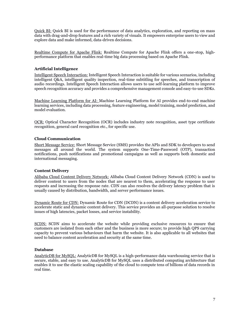Quick BI: Quick BI is used for the performance of data analytics, exploration, and reporting on mass data with drag-and-drop features and a rich variety of visuals. It empowers enterprise users to view and explore data and make informed, data-driven decisions.

Realtime Compute for Apache Flink: Realtime Compute for Apache Flink offers a one-stop, highperformance platform that enables real-time big data processing based on Apache Flink.

# **Artificial Intelligence**

Intelligent Speech Interaction: Intelligent Speech Interaction is suitable for various scenarios, including intelligent Q&A, intelligent quality inspection, real-time subtitling for speeches, and transcription of audio recordings. Intelligent Speech Interaction allows users to use self-learning platform to improve speech recognition accuracy and provides a comprehensive management console and easy-to-use SDKs.

Machine Learning Platform for AI: Machine Learning Platform for AI provides end-to-end machine learning services, including data processing, feature engineering, model training, model prediction, and model evaluation.

OCR: Optical Character Recognition (OCR) includes industry note recognition, asset type certificate recognition, general card recognition etc., for specific use.

# **Cloud Communication**

Short Message Service: Short Message Service (SMS) provides the APIs and SDK to developers to send messages all around the world. The system supports One-Time-Password (OTP), transaction notifications, push notifications and promotional campaigns as well as supports both domestic and international messaging.

# **Content Delivery**

Alibaba Cloud Content Delivery Network: Alibaba Cloud Content Delivery Network (CDN) is used to deliver content to users from the nodes that are nearest to them, accelerating the response to user requests and increasing the response rate. CDN can also resolves the delivery latency problem that is usually caused by distribution, bandwidth, and server performance issues.

Dynamic Route for CDN: Dynamic Route for CDN (DCDN) is a content delivery acceleration service to accelerate static and dynamic content delivery. This service provides an all-purpose solution to resolve issues of high latencies, packet losses, and service instability.

SCDN: SCDN aims to accelerate the website while providing exclusive resources to ensure that customers are isolated from each other and the business is more secure; to provide high QPS carrying capacity to prevent various behaviours that harm the website. It is also applicable to all websites that need to balance content acceleration and security at the same time.

# **Database**

AnalyticDB for MySQL: AnalyticDB for MySQL is a high-performance data warehousing service that is secure, stable, and easy to use. AnalyticDB for MySQL uses a distributed computing architecture that enables it to use the elastic scaling capability of the cloud to compute tens of billions of data records in real time.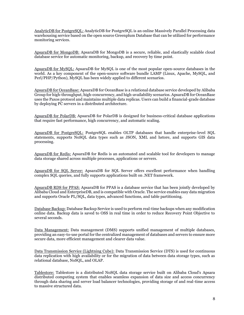AnalyticDB for PostgreSQL: AnalyticDB for PostgreSQL is an online Massively Parallel Processing data warehousing service based on the open source Greenplum Database that can be utilized for performance monitoring services.

ApsaraDB for MongoDB: ApsaraDB for MongoDB is a secure, reliable, and elastically scalable cloud database service for automatic monitoring, backup, and recovery by time point.

ApsaraDB for MySQL: ApsaraDB for MySQL is one of the most popular open-source databases in the world. As a key component of the open-source software bundle LAMP (Linux, Apache, MySQL, and Perl/PHP/Python), MySQL has been widely applied to different scenarios.

ApsaraDB for OceanBase: ApsaraDB for OceanBase is a relational database service developed by Alibaba Group for high-throughput, high-concurrency, and high-availability scenarios. ApsaraDB for OceanBase uses the Paxos protocol and maintains multiple data replicas. Users can build a financial-grade database by deploying PC servers in a distributed architecture.

ApsaraDB for PolarDB: ApsaraDB for PolarDB is designed for business-critical database applications that require fast performance, high concurrency, and automatic scaling.

ApsaraDB for PostgreSQL: PostgreSQL enables OLTP databases that handle enterprise-level SQL statements, supports NoSQL data types such as JSON, XML and hstore, and supports GIS data processing.

ApsaraDB for Redis: ApsaraDB for Redis is an automated and scalable tool for developers to manage data storage shared across multiple processes, applications or servers.

ApsaraDB for SQL Server: ApsaraDB for SQL Server offers excellent performance when handling complex SQL queries, and fully supports applications built on .NET framework.

ApsaraDB RDS for PPAS: ApsaraDB for PPAS is a database service that has been jointly developed by Alibaba Cloud and EnterpriseDB, and is compatible with Oracle. The service enables easy data migration and supports Oracle PL/SQL, data types, advanced functions, and table partitioning.

Database Backup: Database Backup Service is used to perform real-time backups when any modification online data. Backup data is saved to OSS in real time in order to reduce Recovery Point Objective to several seconds.

Data Management: Data management (DMS) supports unified management of multiple databases, providing an easy-to-use portal for the centralized management of databases and servers to ensure more secure data, more efficient management and clearer data value.

Data Transmission Service (Lightning Cube): Data Transmission Service (DTS) is used for continuous data replication with high availability or for the migration of data between data storage types, such as relational database, NoSQL, and OLAP.

Tablestore: Tablestore is a distributed NoSQL data storage service built on Alibaba Cloud's Apsara distributed computing system that enables seamless expansion of data size and access concurrency through data sharing and server load balancer technologies, providing storage of and real-time access to massive structured data.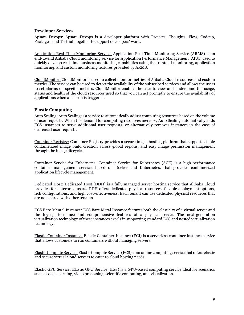## **Developer Services**

Apsara Devops: Apsara Devops is a developer platform with Projects, Thoughts, Flow, Codeup, Packages, and Testhub together to support developers' work.

Application Real-Time Monitoring Service: Application Real-Time Monitoring Service (ARMS) is an end-to-end Alibaba Cloud monitoring service for Application Performance Management (APM) used to quickly develop real-time business monitoring capabilities using the frontend monitoring, application monitoring, and custom monitoring features provided by ARMS.

CloudMonitor: CloudMonitor is used to collect monitor metrics of Alibaba Cloud resources and custom metrics. The service can be used to detect the availability of the subscribed services and allows the users to set alarms on specific metrics. CloudMonitor enables the user to view and understand the usage, status and health of the cloud resources used so that you can act promptly to ensure the availability of applications when an alarm is triggered.

## **Elastic Computing**

Auto Scaling: Auto Scaling is a service to automatically adjust computing resources based on the volume of user requests. When the demand for computing resources increase, Auto Scaling automatically adds ECS instances to serve additional user requests, or alternatively removes instances in the case of decreased user requests.

Container Registry: Container Registry provides a secure image hosting platform that supports stable containerized image build creation across global regions, and easy image permission management through the image lifecycle.

Container Service for Kubernetes: Container Service for Kubernetes (ACK) is a high-performance container management service, based on Docker and Kubernetes, that provides containerized application lifecycle management.

Dedicated Host: Dedicated Host (DDH) is a fully managed server hosting service that Alibaba Cloud provides for enterprise users. DDH offers dedicated physical resources, flexible deployment options, rich configurations, and high cost-effectiveness. Each tenant can use dedicated physical resources that are not shared with other tenants.

ECS Bare Mental Instance: ECS Bare Metal Instance features both the elasticity of a virtual server and the high-performance and comprehensive features of a physical server. The next-generation virtualization technology of these instances excels in supporting standard ECS and nested virtualization technology.

Elastic Container Instance: Elastic Container Instance (ECI) is a serverless container instance service that allows customers to run containers without managing servers.

Elastic Compute Service: Elastic Compute Service (ECS)is an online computing service that offers elastic and secure virtual cloud servers to cater to cloud hosting needs.

Elastic GPU Service: Elastic GPU Service (EGS) is a GPU-based computing service ideal for scenarios such as deep learning, video processing, scientific computing, and visualization.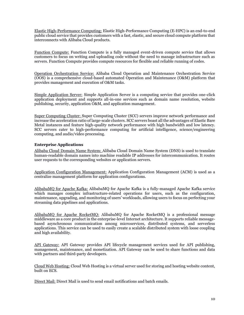Elastic High-Performance Computing: Elastic High-Performance Computing (E-HPC) is an end-to-end public cloud service that provides customers with a fast, elastic, and secure cloud compute platform that interconnects with Alibaba Cloud products.

Function Compute: Function Compute is a fully managed event-driven compute service that allows customers to focus on writing and uploading code without the need to manage infrastructure such as servers. Function Compute provides compute resources for flexible and reliable running of codes.

Operation Orchestration Service: Alibaba Cloud Operation and Maintenance Orchestration Service (OOS) is a comprehensive cloud-based automated Operation and Maintenance (O&M) platform that provides management and execution of O&M tasks.

Simple Application Server: Simple Application Server is a computing service that provides one-click application deployment and supports all-in-one services such as domain name resolution, website publishing, security, application O&M, and application management.

Super Computing Cluster: Super Computing Cluster (SCC) servers improve network performance and increase the acceleration ratio of large-scale clusters. SCC servers boast all the advantages of Elastic Bare Metal instances and feature high-quality network performance with high bandwidth and low latency. SCC servers cater to high-performance computing for artificial intelligence, science/engineering computing, and audio/video processing.

## **Enterprise Applications**

Alibaba Cloud Domain Name System: Alibaba Cloud Domain Name System (DNS) is used to translate human-readable domain names into machine readable IP addresses for intercommunication. It routes user requests to the corresponding websites or application servers.

Application Configuration Management: Application Configuration Management (ACM) is used as a centralize management platform for application configurations.

AlibabaMQ for Apache Kafka: AlibabaMQ for Apache Kafka is a fully-managed Apache Kafka service which manages complex infrastructure-related operations for users, such as the configuration, maintenance, upgrading, and monitoring of users' workloads, allowing users to focus on perfecting your streaming data pipelines and applications.

AlibabaMQ for Apache RocketMQ: AlibabaMQ for Apache RocketMQ is a professional message middleware as a core product in the enterprise-level Internet architecture. It supports reliable messagebased asynchronous communication among microservices, distributed systems, and serverless applications. This service can be used to easily create a scalable distributed system with loose coupling and high availability.

API Gateway: API Gateway provides API lifecycle management services used for API publishing, management, maintenance, and monetization. API Gateway can be used to share functions and data with partners and third-party developers.

Cloud Web Hosting: Cloud Web Hosting is a virtual server used for storing and hosting website content, built on ECS.

Direct Mail: Direct Mail is used to send email notifications and batch emails.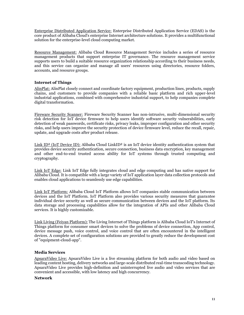Enterprise Distributed Application Service: Enterprise Distributed Application Service (EDAS) is the core product of Alibaba Cloud's enterprise Internet architecture solutions. It provides a multifunctional solution for the enterprise-level cloud computing market.

Resource Management: Alibaba Cloud Resource Management Service includes a series of resource management products that support enterprise IT governance. The resource management service supports users to build a suitable resource organization relationship according to their business needs, and this service can organize and manage all users' resources using directories, resource folders, accounts, and resource groups.

## **Internet of Things**

AlinPlat: AlinPlat closely connect and coordinate factory equipment, production lines, products, supply chains, and customers to provide companies with a reliable basic platform and rich upper-level industrial applications, combined with comprehensive industrial support, to help companies complete digital transformation.

Fireware Security Scanner: Fireware Security Scanner has non-intrusive, multi-dimensional security risk detection for IoT device firmware to help users identify software security vulnerabilities, early detection of weak passwords, certificate risks, privacy leaks, improper configuration and other security risks, and help users improve the security protection of device firmware level, reduce the recall, repair, update, and upgrade costs after product release.

Link ID<sup>2</sup> (IoT Device ID): Alibaba Cloud LinkID<sup>2</sup> is an IoT device identity authentication system that provides device security authentication, secure connection, business data encryption, key management and other end-to-end trusted access ability for IoT systems through trusted computing and cryptography.

Link IoT Edge: Link IoT Edge fully integrates cloud and edge computing and has native support for Alibaba Cloud. It is compatible with a large variety of IoT application layer data collection protocols and enables cloud applications to seamlessly use edge capabilities.

Link IoT Platform: Alibaba Cloud IoT Platform allows IoT companies stable communication between devices and the IoT Platform. IoT Platform also provides various security measures that guarantee individual device security as well as secure communication between devices and the IoT platform. Its data storage and processing capabilities allow for the integration of APIs and other Alibaba Cloud services. It is highly customizable.

Link Living (Feiyan Platform): The Living Internet of Things platform is Alibaba Cloud IoT's Internet of Things platform for consumer smart devices to solve the problems of device connection, App control, device message push, voice control, and voice control that are often encountered in the intelligent devices. A complete set of configuration solutions are provided to greatly reduce the development cost of "equipment-cloud-app".

## **Media Services**

ApsaraVideo Live: ApsaraVideo Live is a live streaming platform for both audio and video based on leading content hosting, delivery networks and large-scale distributed real-time transcoding technology. ApsaraVideo Live provides high-definition and uninterrupted live audio and video services that are convenient and accessible, with low latency and high concurrency.

## **Network**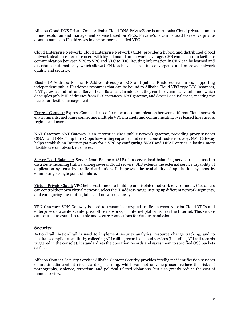Alibaba Cloud DNS PrivateZone: Alibaba Cloud DNS PrivateZone is an Alibaba Cloud private domain name resolution and management service based on VPCs. PrivateZone can be used to resolve private domain names to IP addresses in one or more specified VPCs.

Cloud Enterprise Network: Cloud Enterprise Network (CEN) provides a hybrid and distributed global network ideal for enterprise users with high demand on network coverage. CEN can be used to facilitate communication between VPC to VPC and VPC to IDC. Routing information in CEN can be learned and distributed automatically, which allows CEN to achieve fast routing convergence and improved network quality and security.

Elastic IP Address: Elastic IP Address decouples ECS and public IP address resources, supporting independent public IP address resources that can be bound to Alibaba Cloud VPC-type ECS instances, NAT gateway, and Intranet Server Load Balancer. In addition, they can be dynamically unbound, which decouples public IP addresses from ECS instances, NAT gateway, and Sever Load Balancer, meeting the needs for flexible management.

Express Connect: Express Connect is used for network communication between different Cloud network environments, including connecting multiple VPC intranets and communicating over leased lines across regions and users.

NAT Gateway: NAT Gateway is an enterprise-class public network gateway, providing proxy services (SNAT and DNAT), up to 10 Gbps forwarding capacity, and cross-zone disaster recovery. NAT Gateway helps establish an Internet gateway for a VPC by configuring SNAT and DNAT entries, allowing more flexible use of network resources.

Server Load Balancer: Server Load Balancer (SLB) is a server load balancing service that is used to distribute incoming traffics among several Cloud servers. SLB extends the external service capability of application systems by traffic distribution. It improves the availability of application systems by eliminating a single point of failure.

Virtual Private Cloud: VPC helps customers to build up and isolated network environment. Customers can control their own virtual network, select the IP address range, setting up different network segments, and configuring the routing table and network gateway.

VPN Gateway: VPN Gateway is used to transmit encrypted traffic between Alibaba Cloud VPCs and enterprise data centers, enterprise office networks, or Internet platforms over the Internet. This service can be used to establish reliable and secure connections for data transmission.

## **Security**

ActionTrail: ActionTrail is used to implement security analytics, resource change tracking, and to facilitate compliance audits by collecting API calling records of cloud services (including API call records triggered in the console). It standardizes the operation records and saves them to specified OSS buckets as files.

Alibaba Content Security Service: Alibaba Content Security provides intelligent identification services of multimedia content risks via deep learning, which can not only help users reduce the risks of pornography, violence, terrorism, and political-related violations, but also greatly reduce the cost of manual review.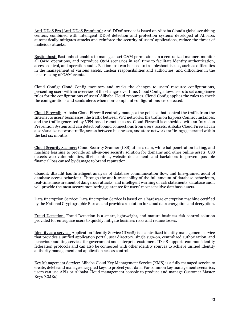Anti-DDoS Pro (Anti-DDoS Premium): Anti-DDoS service is based on Alibaba Cloud's global scrubbing centers, combined with intelligent DDoS detection and protection systems developed at Alibaba, automatically mitigates attacks and reinforce the security of users' applications, reduce the threat of malicious attacks.

Bastionhost: Bastionhost enables to manage asset O&M permissions in a centralized manner, monitor all O&M operations, and reproduce O&M scenarios in real time to facilitate identity authentication, access control, and operation audit. Bastionhost can be used to troubleshoot issues, such as difficulties in the management of various assets, unclear responsibilities and authorities, and difficulties in the backtracking of O&M events.

Cloud Config: Cloud Config monitors and tracks the changes to users' resource configurations, presenting users with an overview of the changes over time. Cloud Config allows users to set compliance rules for the configurations of users' Alibaba Cloud resources. Cloud Config applies the rules to check the configurations and sends alerts when non-compliant configurations are detected.

Cloud Firewall: Alibaba Cloud Firewall centrally manages the policies that control the traffic from the Internet to users' businesses, the traffic between VPC networks, the traffic on Express Connect instances, and the traffic generated by VPN-based remote access. Cloud Firewall is embedded with an Intrusion Prevention System and can detect outbound connections from users' assets. Alibaba Cloud Firewall can also visualize network traffic, access between businesses, and store network traffic logs generated within the last six months.

Cloud Security Scanner: Cloud Security Scanner (CSS) utilizes data, white hat penetration testing, and machine learning to provide an all-in-one security solution for domains and other online assets. CSS detects web vulnerabilities, illicit content, website defacement, and backdoors to prevent possible financial loss caused by damage to brand reputation.

dbaudit: dbaudit has Intelligent analysis of database communication flow, and fine-grained audit of database access behaviour. Through the audit traceability of the full amount of database behaviours, real-time measurement of dangerous attacks, and intelligent warning of risk statements, database audit will provide the most secure monitoring guarantee for users' most sensitive database assets.

Data Encryption Service: Data Encryption Service is based on a hardware encryption machine certified by the National Cryptographic Bureau and provides a solution for cloud data encryption and decryption.

Fraud Detection: Fraud Detection is a smart, lightweight, and mature business risk control solution provided for enterprise users to quickly mitigate business risks and reduce losses.

Identity as a service: Application Identity Service (IDaaS) is a centralized identity management service that provides a unified application portal, user directory, single sign-on, centralized authorization, and behaviour auditing services for government and enterprise customers. IDaaS supports common identity federation protocols and can also be connected with other identity sources to achieve unified identity authority management and application access control.

Key Management Service: Alibaba Cloud Key Management Service (KMS) is a fully managed service to create, delete and manage encrypted keys to protect your data. For common key management scenarios, users can use APIs or Alibaba Cloud management console to produce and manage Customer Master Keys (CMKs).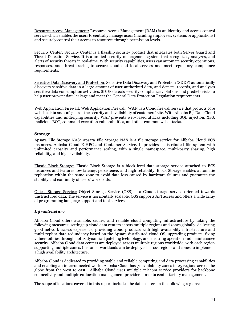Resource Access Management: Resource Access Management (RAM) is an identity and access control service which enables the users to centrally manage users (including employees, systems or applications) and securely control their access to resources through permission levels.

Security Center: Security Center is a flagship security product that integrates both Server Guard and Threat Detection Service. It is a unified security management system that recognizes, analyzes, and alerts of security threats in real-time. With security capabilities, users can automate security operations, responses, and threat tracing to secure cloud and local servers and meet regulatory compliance requirements.

Sensitive Data Discovery and Protection: Sensitive Data Discovery and Protection (SDDP) automatically discovers sensitive data in a large amount of user-authorized data, and detects, records, and analyses sensitive data consumption activities. SDDP detects security compliance violations and predicts risks to help user prevent data leakage and meet the General Data Protection Regulation requirements.

Web Application Firewall: Web Application Firewall (WAF) is a Cloud firewall service that protects core website data and safeguards the security and availability of customers' site. With Alibaba Big Data Cloud capabilities and underlying security, WAF prevents web-based attacks including SQL injection, XSS, malicious BOT, command execution vulnerabilities, and other common web attacks.

## **Storage**

Apsara File Storage NAS: Apsara File Storage NAS is a file storage service for Alibaba Cloud ECS instances, Alibaba Cloud E-HPC and Container Service. It provides a distributed file system with unlimited capacity and performance scaling, with a single namespace, multi-party sharing, high reliability, and high availability.

Elastic Block Storage: Elastic Block Storage is a block-level data storage service attached to ECS instances and features low latency, persistence, and high reliability. Block Storage enables automatic replication within the same zone to avoid data loss caused by hardware failures and guarantee the stability and continuity of users' workloads.

Object Storage Service: Object Storage Service (OSS) is a Cloud storage service oriented towards unstructured data. The service is horizontally scalable. OSS supports API access and offers a wide array of programming language support and tool services.

# *Infrastructure*

Alibaba Cloud offers available, secure, and reliable cloud computing infrastructure by taking the following measures: setting up cloud data centers across multiple regions and zones globally, delivering good network access experience, providing cloud products with high availability infrastructure and multi-replica data redundancy based on the Apsara distributed cloud OS, upgrading products, fixing vulnerabilities through hotfix dynamical patching technology, and ensuring operation and maintenance security. Alibaba Cloud data centers are deployed across multiple regions worldwide, with each region supporting multiple zones. Customer workloads can be deployed across regions and zones to implement a high availability architecture.

Alibaba Cloud is dedicated to providing stable and reliable computing and data processing capabilities and enabling an interconnected world. Alibaba Cloud has 71 availability zones in 25 regions across the globe from the west to east. Alibaba Cloud uses multiple telecom service providers for backbone connectivity and multiple co-location management providers for data center facility management.

The scope of locations covered in this report includes the data centers in the following regions: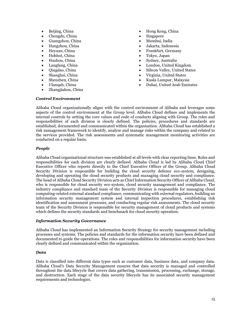- Beijing, China
- Chengdu, China
- Guangzhou, China
- Hangzhou, China
- Heyuan, China
- Hohhot, China
- Huzhou, China
- Langfang, China
- Qingdao, China
- Shanghai, China
- Shenzhen, China
- Ulanqab, China
- Zhangjiakou, China
- Hong Kong, China
- **Singapore**
- Mumbai, India
- Jakarta, Indonesia
- Frankfurt, Germany
- Tokyo, Japan
- Sydney, Australia
- London, United Kingdom
- Silicon Valley, United States
- Virginia, United States
- Kuala Lumpur, Malaysia
- Dubai, United Arab Emirates

#### *Control Environment*

Alibaba Cloud organizationally aligns with the control environment of Alibaba and leverages some aspects of the control environment at the Group level. Alibaba Cloud defines and implements the internal controls by setting the core values and code of conducts aligning with Group. The roles and responsibilities of each division is clearly defined. The policies, procedures and standards are established, documented and communicated within the organization. Alibaba Cloud has established a risk management framework to identify, analyse and manage risks within the company and related to the services provided. The risk assessments and systematic management monitoring activities are conducted on a regular basis.

## *People*

Alibaba Cloud organizational structure was established at all levels with clear reporting lines. Roles and responsibilities for each division are clearly defined. Alibaba Cloud is led by Alibaba Cloud Chief Executive Officer who reports directly to the Chief Executive Officer of the Group. Alibaba Cloud Security Division is responsible for building the cloud security defence eco-system, designing, developing and operating the cloud security products and managing cloud security and compliance. The head of Alibaba Cloud Security Division acts as Chief Information Security Officer of Alibaba Cloud, who is responsible for cloud security eco-system, cloud security management and compliance. The industry compliance and standard team of the Security Division is responsible for managing cloud computing-related external standard compliance, communicating with external regulators, building an information security management system and internal inspection procedures, establishing risk identification and assessment processes, and conducting regular risk assessments. The cloud security team of the Security Division is responsible for security management of cloud products and systems which defines the security standards and benchmark for cloud security operation.

## *Information Security Governance*

Alibaba Cloud has implemented an Information Security Strategy for security management including processes and systems. The policies and standards for the information security have been defined and documented to guide the operations. The roles and responsibilities for information security have been clearly defined and communicated within the organization.

## *Data*

Data is classified into different data types such as customer data, business data, and company data. Alibaba Cloud's Data Security Management ensures that data security is managed and controlled throughout the data lifecycle that covers data gathering, transmission, processing, exchange, storage, and destruction. Each stage of the data security lifecycle has its associated security management requirements and technologies.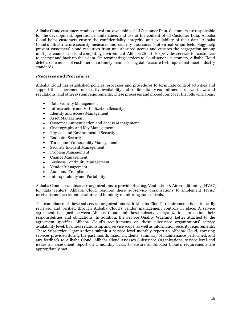Alibaba Cloud customers retain control and ownership of all Customer Data. Customers are responsible for the development, operation, maintenance, and use of the content of all Customer Data. Alibaba Cloud helps customers ensure the confidentiality, integrity, and availability of their data. Alibaba Cloud's infrastructure security measures and security mechanisms of virtualization technology help prevent customers' cloud resources from unauthorized access and ensures the segregation among multiple tenants in a cloud computing environment. Alibaba Cloud also provides services for customers to encrypt and back up their data. On terminating services to cloud service customers, Alibaba Cloud deletes data assets of customers in a timely manner using data erasure techniques that meet industry standards.

## *Processes and Procedures*

Alibaba Cloud has established policies, processes and procedures to formulate control activities and support the achievement of security, availability and confidentiality commitments, relevant laws and regulations, and other system requirements. These processes and procedures cover the following areas:

- Data Security Management
- Infrastructure and Virtualization Security
- Identity and Access Management
- Asset Management
- Customer Authentication and Access Management
- Cryptography and Key Management
- Physical and Environmental Security
- Endpoint Security
- Threat and Vulnerability Management
- Security Incident Management
- Problem Management
- Change Management
- Business Continuity Management
- Vendor Management
- Audit and Compliance
- Interoperability and Portability

Alibaba Cloud uses subservice organizations to provide Heating, Ventilation & Air-conditioning (HVAC) for data centers. Alibaba Cloud requires these subservice organizations to implement HVAC mechanisms such as temperature and humidity monitoring and controls.

The compliance of these subservice organizations with Alibaba Cloud's requirements is periodically reviewed and verified through Alibaba Cloud's vendor management controls in place. A service agreement is signed between Alibaba Cloud and these subservice organizations to define their responsibilities and obligations. In addition, the Service Quality Warranty Letter attached to the agreement specifies Alibaba Cloud's requirements on these subservice organizations' service availability level, business relationship and service scope, as well as information security requirements. These Subservice Organizations submit a service level monthly report to Alibaba Cloud, covering services provided during the past month, major incidents, summary of maintenance performed, and any feedback to Alibaba Cloud. Alibaba Cloud assesses Subservice Organizations' service level and issues an assessment report on a monthly basis, to ensure all Alibaba Cloud's requirements are appropriately met.